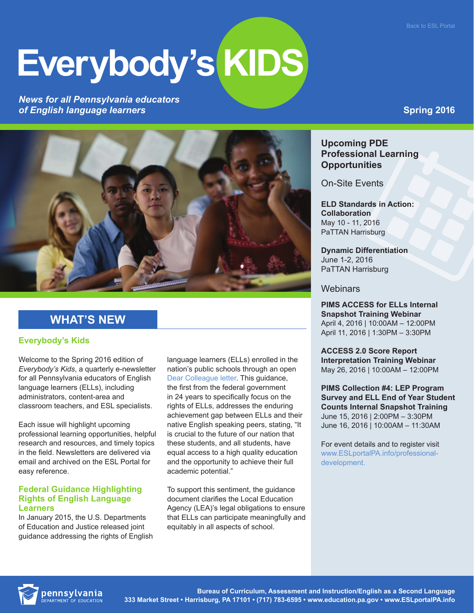# **Everybody's KIDS**

*News for all Pennsylvania educators of English language learners*



## **WHAT'S NEW**

#### **Everybody's Kids**

Welcome to the Spring 2016 edition of *Everybody's Kids*, a quarterly e-newsletter for all Pennsylvania educators of English language learners (ELLs), including administrators, content-area and classroom teachers, and ESL specialists.

Each issue will highlight upcoming professional learning opportunities, helpful research and resources, and timely topics in the field. Newsletters are delivered via email and archived on the ESL Portal for easy reference.

#### **Federal Guidance Highlighting Rights of English Language Learners**

In January 2015, the U.S. Departments of Education and Justice released joint guidance addressing the rights of English

language learners (ELLs) enrolled in the nation's public schools through an open [Dear Colleague letter](http://www2.ed.gov/about/offices/list/ocr/letters/colleague-el-201501.pdf). This guidance, the first from the federal government in 24 years to specifically focus on the rights of ELLs, addresses the enduring achievement gap between ELLs and their native English speaking peers, stating, "It is crucial to the future of our nation that these students, and all students, have equal access to a high quality education and the opportunity to achieve their full academic potential."

To support this sentiment, the guidance document clarifies the Local Education Agency (LEA)'s legal obligations to ensure that ELLs can participate meaningfully and equitably in all aspects of school.

## **Spring 2016**

### **Upcoming PDE Professional Learning Opportunities**

On-Site Events

**ELD Standards in Action: Collaboration** May 10 - 11, 2016 PaTTAN Harrisburg

**Dynamic Differentiation** June 1-2, 2016 PaTTAN Harrisburg

#### **Webinars**

**PIMS ACCESS for ELLs Internal Snapshot Training Webinar** April 4, 2016 | 10:00AM – 12:00PM April 11, 2016 | 1:30PM – 3:30PM

**ACCESS 2.0 Score Report Interpretation Training Webinar** May 26, 2016 | 10:00AM – 12:00PM

**PIMS Collection #4: LEP Program Survey and ELL End of Year Student Counts Internal Snapshot Training** June 15, 2016 | 2:00PM – 3:30PM June 16, 2016 | 10:00AM – 11:30AM

For event details and to register visit [www.ESLportalPA.info/professional](http://www.ESLportalPA.info/professional-development.)[development.](http://www.ESLportalPA.info/professional-development.)

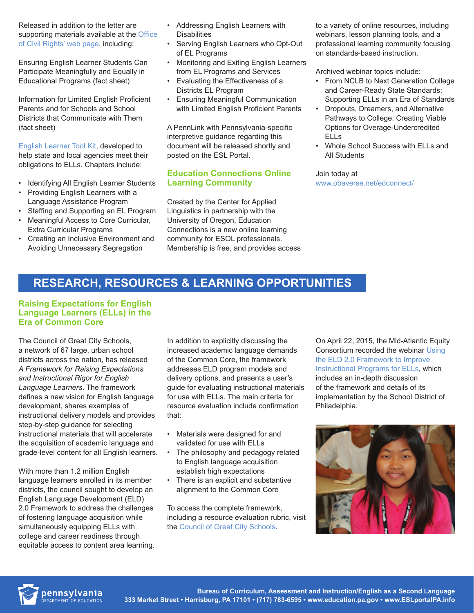Released in addition to the letter are supporting materials available at the Office [of Civil Rights' web page,](http://www2.ed.gov/about/offices/list/ocr/ellresources.html) including:

Ensuring English Learner Students Can Participate Meaningfully and Equally in Educational Programs (fact sheet)

Information for Limited English Proficient Parents and for Schools and School Districts that Communicate with Them (fact sheet)

[English Learner Tool Kit](http://www2.ed.gov/about/offices/list/oela/english-learner-toolkit/index.html), developed to help state and local agencies meet their obligations to ELLs. Chapters include:

- Identifying All English Learner Students
- Providing English Learners with a Language Assistance Program
- Staffing and Supporting an EL Program • Meaningful Access to Core Curricular,
- Extra Curricular Programs
- Creating an Inclusive Environment and Avoiding Unnecessary Segregation
- Addressing English Learners with **Disabilities**
- Serving English Learners who Opt-Out of EL Programs
- Monitoring and Exiting English Learners from EL Programs and Services
- Evaluating the Effectiveness of a Districts EL Program
- Ensuring Meaningful Communication with Limited English Proficient Parents

A PennLink with Pennsylvania-specific interpretive guidance regarding this document will be released shortly and posted on the ESL Portal.

#### **Education Connections Online Learning Community**

Created by the Center for Applied Linguistics in partnership with the University of Oregon, Education Connections is a new online learning community for ESOL professionals. Membership is free, and provides access to a variety of online resources, including webinars, lesson planning tools, and a professional learning community focusing on standards-based instruction.

Archived webinar topics include:

- From NCLB to Next Generation College and Career-Ready State Standards: Supporting ELLs in an Era of Standards
- Dropouts, Dreamers, and Alternative Pathways to College: Creating Viable Options for Overage-Undercredited ELLs
- Whole School Success with ELLs and All Students

Join today at www.obaverse.net/edconnect/

## **RESEARCH, RESOURCES & LEARNING OPPORTUNITIES**

#### **Raising Expectations for English Language Learners (ELLs) in the Era of Common Core**

The Council of Great City Schools, a network of 67 large, urban school districts across the nation, has released *A Framework for Raising Expectations and Instructional Rigor for English Language Learners*. The framework defines a new vision for English language development, shares examples of instructional delivery models and provides step-by-step guidance for selecting instructional materials that will accelerate the acquisition of academic language and grade-level content for all English learners.

With more than 1.2 million English language learners enrolled in its member districts, the council sought to develop an English Language Development (ELD) 2.0 Framework to address the challenges of fostering language acquisition while simultaneously equipping ELLs with college and career readiness through equitable access to content area learning.

In addition to explicitly discussing the increased academic language demands of the Common Core, the framework addresses ELD program models and delivery options, and presents a user's guide for evaluating instructional materials for use with ELLs. The main criteria for resource evaluation include confirmation that:

- Materials were designed for and validated for use with ELLs
- The philosophy and pedagogy related to English language acquisition establish high expectations
- There is an explicit and substantive alignment to the Common Core

To access the complete framework, including a resource evaluation rubric, visit the [Council of Great City Schools.](http://www.cgcs.org/cms/lib/DC00001581/Centricity/Domain/4/Framework%20for%20Raising%20Expectations.pdf)

On April 22, 2015, the Mid-Atlantic Equity Consortium recorded the webinar [Using](http://www.safeschools.info/maec-online-sessions/)  [the ELD 2.0 Framework to Improve](http://www.safeschools.info/maec-online-sessions/)  [Instructional Programs for ELLs](http://www.safeschools.info/maec-online-sessions/), which includes an in-depth discussion of the framework and details of its implementation by the School District of Philadelphia.



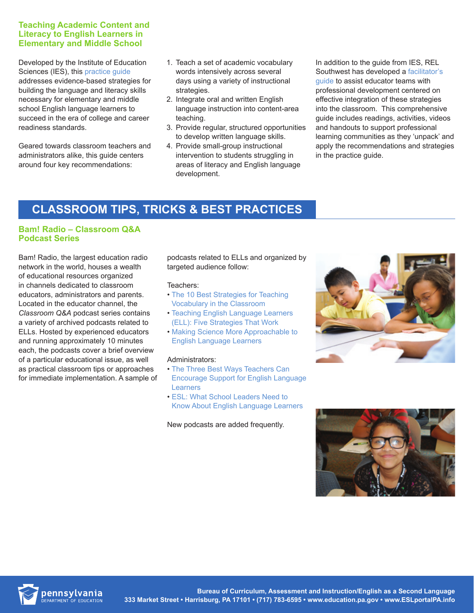#### **Teaching Academic Content and Literacy to English Learners in Elementary and Middle School**

Developed by the Institute of Education Sciences (IES), this [practice guide](http://ies.ed.gov/ncee/wwc/pdf/practice_guides/english_learners_pg_040114.pdf) addresses evidence-based strategies for building the language and literacy skills necessary for elementary and middle school English language learners to succeed in the era of college and career readiness standards.

Geared towards classroom teachers and administrators alike, this guide centers around four key recommendations:

- 1. Teach a set of academic vocabulary words intensively across several days using a variety of instructional strategies.
- 2. Integrate oral and written English language instruction into content-area teaching.
- 3. Provide regular, structured opportunities to develop written language skills.
- 4. Provide small-group instructional intervention to students struggling in areas of literacy and English language development.

In addition to the guide from IES, REL Southwest has developed a facilitator's [guide](http://ies.ed.gov/ncee/edlabs/regions/southwest/plc.asp) to assist educator teams with professional development centered on effective integration of these strategies into the classroom. This comprehensive guide includes readings, activities, videos and handouts to support professional learning communities as they 'unpack' and apply the recommendations and strategies in the practice guide.

# **CLASSROOM TIPS, TRICKS & BEST PRACTICES**

#### **Bam! Radio – Classroom Q&A Podcast Series**

Bam! Radio, the largest education radio network in the world, houses a wealth of educational resources organized in channels dedicated to classroom educators, administrators and parents. Located in the educator channel, the *Classroom Q&A* podcast series contains a variety of archived podcasts related to ELLs. Hosted by experienced educators and running approximately 10 minutes each, the podcasts cover a brief overview of a particular educational issue, as well as practical classroom tips or approaches for immediate implementation. A sample of podcasts related to ELLs and organized by targeted audience follow:

#### Teachers:

- [The 10 Best Strategies for Teaching](http://www.jackstreet.com/jackstreet/KCQA.BrownSprenger.cfm)  [Vocabulary in the Classroom](http://www.jackstreet.com/jackstreet/KCQA.BrownSprenger.cfm)
- [Teaching English Language Learners](http://www.jackstreet.com/jackstreet/KCQA.HaynesZehr.cfm)  [\(ELL\): Five Strategies That Work](http://www.jackstreet.com/jackstreet/KCQA.HaynesZehr.cfm)
- [Making Science More Approachable to](http://www.bamradionetwork.com/classroom-q-and-a/3586-making-science-more-approachable-to-english-language-learners)  [English Language Learners](http://www.bamradionetwork.com/classroom-q-and-a/3586-making-science-more-approachable-to-english-language-learners)

#### Administrators:

- [The Three Best Ways Teachers Can](http://www.jackstreet.com/jackstreet/KCQA.SupportELL.cfm)  [Encourage Support for English Language](http://www.jackstreet.com/jackstreet/KCQA.SupportELL.cfm)  [Learners](http://www.jackstreet.com/jackstreet/KCQA.SupportELL.cfm)
- [ESL: What School Leaders Need to](http://www.jackstreet.com/jackstreet/WNAESP.Keithley.cfm)  [Know About English Language Learners](http://www.jackstreet.com/jackstreet/WNAESP.Keithley.cfm)

New podcasts are added frequently.